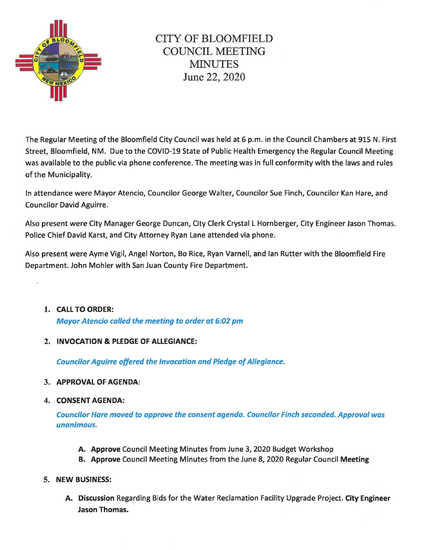

The Regular Meeting of the Bloomfield City Council was held at 6 p.m. in the Council Chambers at 915 N. First Street, Bloomfield, NM. Due to the COVID-19 State of Public Health Emergency the Regular Council Meeting was available to the public via phone conference. The meeting was in full conformity with the laws and rules of the Municipality.

In attendance were Mayor Atencio, Councilor George Walter, Councilor Sue Finch, Councilor Kan Hare, and Councilor David Aguirre.

Also present were City Manager George Duncan, City Clerk Crystal L Hornberger, City Engineer Jason Thomas. Police Chief David Karst, and City Attorney Ryan Lane attended via phone.

Also present were Ayme Vigil, Angel Norton, Bo Rice, Ryan Varnell, and Ian Rutter with the Bloomfield Fire Department. John Mohler with San Juan County Fire Department.

- 1. CALL TO ORDER: Mayor Atencio called the meeting to order at 6:02 pm
- 2. INVOCATION & PLEDGE OF ALLEGIANCE:

Councilor Aguirre offered the Invocation and Pledge of Allegiance.

- 3. APPROVAL OF AGENDA:
- 4. CONSENT AGENDA:

Councilor Hare moved to approve the consent agenda. Councilor Finch seconded. Approval was unanimous.

- A. Approve Council Meeting Minutes from June 3, 2020 Budget Workshop
- B. Approve Council Meeting Minutes from the June 8, 2020 Regular Council Meeting
- 5. NEW BUSINESS:
	- A. Discussion Regarding Bids for the Water Reclamation Facility Upgrade Project. City Engineer Jason Thomas.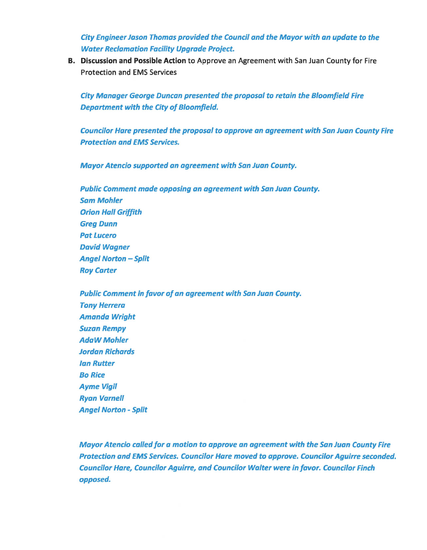City Engineer Jason Thomas provided the Council and the Mayor with an update to the Water Reclamation Facility Upgrade Project.

B. Discussion and Possible Action to Approve an Agreement with San Juan County for Fire Protection and EMS Services

City Manager George Duncan presented the proposal to retain the Bloomfield Fire Department with the City of Bloomfield.

Councilor Hare presented the proposal to approve an agreement with San Juan County Fire Protection and EMS Services.

Mayor Atencio supported an agreement with San Juan County.

Public Comment made opposing an agreement with San Juan County. Sam Mohler Orion Hall Griffith Greg Dunn Pat Lucero David Wagner Angel Norton - Split Roy Carter

Public Comment in favor of an agreement with San Juan County. Tony Herrera Amanda Wright **Suzan Rempy** AdaWMohler Jordan Richards Ian Rutter Bo Rice Ayme Vigil Ryan Varnell Angel Norton - Split

Mayor Atencio called for a motion to approve an agreement with the San Juan County Fire Protection and EMS Services. Councilor Hare moved to approve. Councilor Aguirre seconded. Councilor Hare, Councilor Aguirre, and Councilor Walter were in favor. Councilor Finch opposed.